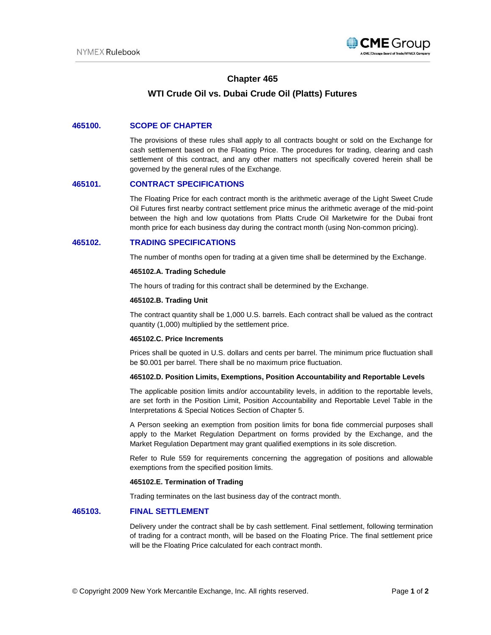

# **Chapter 465**

# **WTI Crude Oil vs. Dubai Crude Oil (Platts) Futures**

### **465100. SCOPE OF CHAPTER**

The provisions of these rules shall apply to all contracts bought or sold on the Exchange for cash settlement based on the Floating Price. The procedures for trading, clearing and cash settlement of this contract, and any other matters not specifically covered herein shall be governed by the general rules of the Exchange.

### **465101. CONTRACT SPECIFICATIONS**

The Floating Price for each contract month is the arithmetic average of the Light Sweet Crude Oil Futures first nearby contract settlement price minus the arithmetic average of the mid-point between the high and low quotations from Platts Crude Oil Marketwire for the Dubai front month price for each business day during the contract month (using Non-common pricing).

### **465102. TRADING SPECIFICATIONS**

The number of months open for trading at a given time shall be determined by the Exchange.

#### **465102.A. Trading Schedule**

The hours of trading for this contract shall be determined by the Exchange.

#### **465102.B. Trading Unit**

The contract quantity shall be 1,000 U.S. barrels. Each contract shall be valued as the contract quantity (1,000) multiplied by the settlement price.

#### **465102.C. Price Increments**

Prices shall be quoted in U.S. dollars and cents per barrel. The minimum price fluctuation shall be \$0.001 per barrel. There shall be no maximum price fluctuation.

#### **465102.D. Position Limits, Exemptions, Position Accountability and Reportable Levels**

The applicable position limits and/or accountability levels, in addition to the reportable levels, are set forth in the Position Limit, Position Accountability and Reportable Level Table in the Interpretations & Special Notices Section of Chapter 5.

A Person seeking an exemption from position limits for bona fide commercial purposes shall apply to the Market Regulation Department on forms provided by the Exchange, and the Market Regulation Department may grant qualified exemptions in its sole discretion.

Refer to Rule 559 for requirements concerning the aggregation of positions and allowable exemptions from the specified position limits.

#### **465102.E. Termination of Trading**

Trading terminates on the last business day of the contract month.

# **465103. FINAL SETTLEMENT**

Delivery under the contract shall be by cash settlement. Final settlement, following termination of trading for a contract month, will be based on the Floating Price. The final settlement price will be the Floating Price calculated for each contract month.